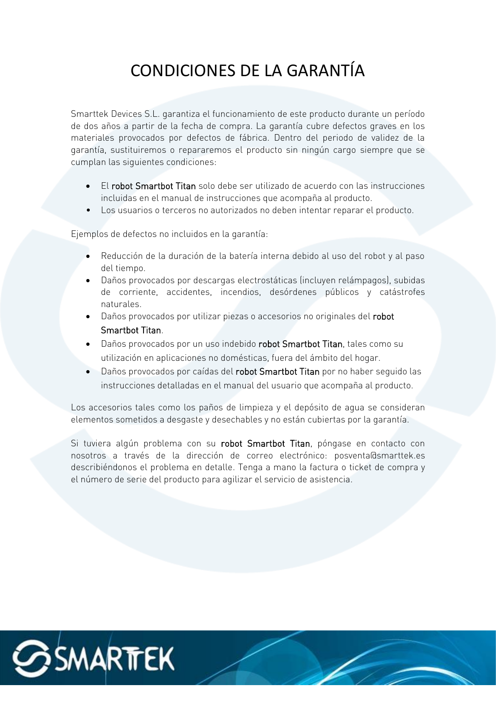## CONDICIONES DE LA GARANTÍA

Smarttek Devices S.L. garantiza el funcionamiento de este producto durante un período de dos años a partir de la fecha de compra. La garantía cubre defectos graves en los materiales provocados por defectos de fábrica. Dentro del periodo de validez de la garantía, sustituiremos o repararemos el producto sin ningún cargo siempre que se cumplan las siguientes condiciones:

- El robot Smartbot Titan solo debe ser utilizado de acuerdo con las instrucciones incluidas en el manual de instrucciones que acompaña al producto.
- Los usuarios o terceros no autorizados no deben intentar reparar el producto.

Ejemplos de defectos no incluidos en la garantía:

- Reducción de la duración de la batería interna debido al uso del robot y al paso del tiempo.
- Daños provocados por descargas electrostáticas (incluyen relámpagos), subidas de corriente, accidentes, incendios, desórdenes públicos y catástrofes naturales.
- Daños provocados por utilizar piezas o accesorios no originales del robot Smartbot Titan.
- Daños provocados por un uso indebido robot Smartbot Titan, tales como su utilización en aplicaciones no domésticas, fuera del ámbito del hogar.
- Daños provocados por caídas del robot Smartbot Titan por no haber seguido las instrucciones detalladas en el manual del usuario que acompaña al producto.

Los accesorios tales como los paños de limpieza y el depósito de agua se consideran elementos sometidos a desgaste y desechables y no están cubiertas por la garantía.

Si tuviera algún problema con su robot Smartbot Titan, póngase en contacto con nosotros a través de la dirección de correo electrónico: posventa@smarttek.es describiéndonos el problema en detalle. Tenga a mano la factura o ticket de compra y el número de serie del producto para agilizar el servicio de asistencia.